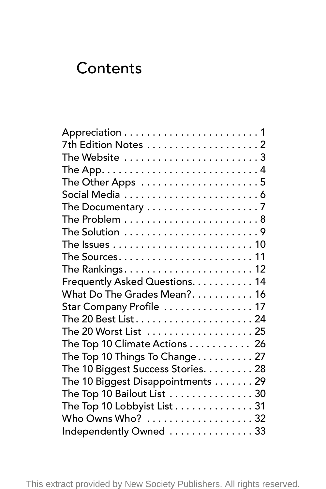## **Contents**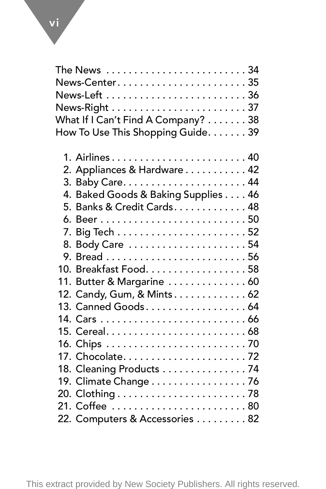| The News 34                         |
|-------------------------------------|
| News-Center35                       |
|                                     |
|                                     |
| What If I Can't Find A Company? 38  |
| How To Use This Shopping Guide. 39  |
| 1. Airlines 40                      |
| 2. Appliances & Hardware 42         |
|                                     |
| 4. Baked Goods & Baking Supplies 46 |
| 5. Banks & Credit Cards. 48         |
|                                     |
|                                     |
| 8. Body Care 54                     |
|                                     |
| 10. Breakfast Food. 58              |
| 11. Butter & Margarine  60          |
| 12. Candy, Gum, & Mints 62          |
| 13. Canned Goods 64                 |
|                                     |
|                                     |
|                                     |
|                                     |
| 18. Cleaning Products 74            |
| 19. Climate Change 76               |
|                                     |
| 21. Coffee 80                       |
| 22. Computers & Accessories 82      |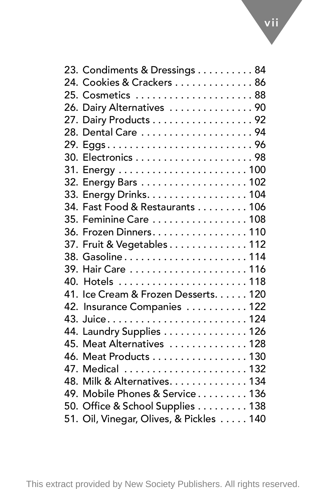| 23. Condiments & Dressings 84           |
|-----------------------------------------|
| 24. Cookies & Crackers 86               |
|                                         |
| 25. Cosmetics 88                        |
| 26. Dairy Alternatives  90              |
| 27. Dairy Products 92                   |
| 28. Dental Care 94                      |
| 29. Eggs96                              |
|                                         |
|                                         |
| 32. Energy Bars 102                     |
| 33. Energy Drinks. 104                  |
| 34. Fast Food & Restaurants 106         |
| 35. Feminine Care  108                  |
| 36. Frozen Dinners. 110                 |
| 37. Fruit & Vegetables 112              |
| 38. Gasoline114                         |
| 39. Hair Care  116                      |
| 40. Hotels 118                          |
| 41. Ice Cream & Frozen Desserts. 120    |
| 42. Insurance Companies  122            |
|                                         |
| 44. Laundry Supplies 126                |
| 45. Meat Alternatives  128              |
| 46. Meat Products 130                   |
|                                         |
| 48. Milk & Alternatives. 134            |
| 49. Mobile Phones & Service 136         |
| 50. Office & School Supplies 138        |
| 51. Oil, Vinegar, Olives, & Pickles 140 |
|                                         |